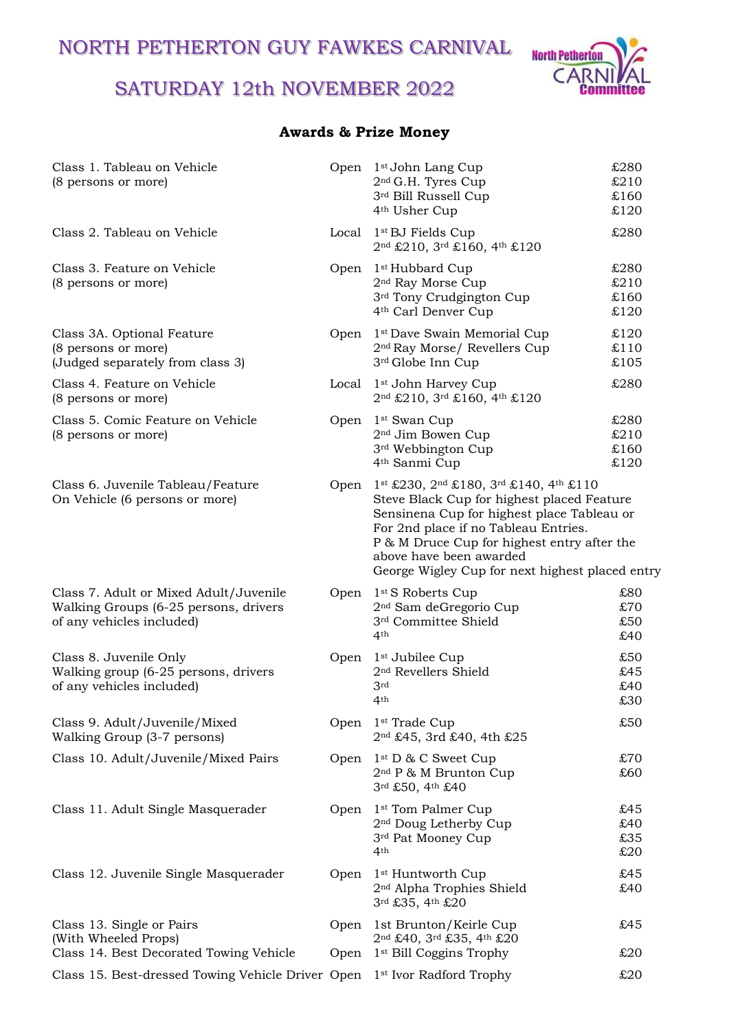NORTH PETHERTON GUY FAWKES CARNIVAL

# SATURDAY 12th NOVEMBER 2022



## **Awards & Prize Money**

| Class 1. Tableau on Vehicle<br>(8 persons or more)                                                           |              | Open 1 <sup>st</sup> John Lang Cup<br>2 <sup>nd</sup> G.H. Tyres Cup<br>3rd Bill Russell Cup<br>4 <sup>th</sup> Usher Cup                                                                                                                                                                               | £280<br>£210<br>£160<br>£120 |
|--------------------------------------------------------------------------------------------------------------|--------------|---------------------------------------------------------------------------------------------------------------------------------------------------------------------------------------------------------------------------------------------------------------------------------------------------------|------------------------------|
| Class 2. Tableau on Vehicle                                                                                  |              | Local 1 <sup>st</sup> BJ Fields Cup<br>2nd £210, 3rd £160, 4th £120                                                                                                                                                                                                                                     | £280                         |
| Class 3. Feature on Vehicle<br>(8 persons or more)                                                           | Open         | 1 <sup>st</sup> Hubbard Cup<br>2 <sup>nd</sup> Ray Morse Cup<br>3 <sup>rd</sup> Tony Crudgington Cup<br>4 <sup>th</sup> Carl Denver Cup                                                                                                                                                                 | £280<br>£210<br>£160<br>£120 |
| Class 3A. Optional Feature<br>(8 persons or more)<br>(Judged separately from class 3)                        | Open         | 1st Dave Swain Memorial Cup<br>2 <sup>nd</sup> Ray Morse/ Revellers Cup<br>3rd Globe Inn Cup                                                                                                                                                                                                            | £120<br>£110<br>£105         |
| Class 4. Feature on Vehicle<br>(8 persons or more)                                                           |              | Local 1 <sup>st</sup> John Harvey Cup<br>2nd £210, 3rd £160, 4th £120                                                                                                                                                                                                                                   | £280                         |
| Class 5. Comic Feature on Vehicle<br>(8 persons or more)                                                     | Open         | 1 <sup>st</sup> Swan Cup<br>2 <sup>nd</sup> Jim Bowen Cup<br>3rd Webbington Cup<br>4 <sup>th</sup> Sanmi Cup                                                                                                                                                                                            | £280<br>£210<br>£160<br>£120 |
| Class 6. Juvenile Tableau/Feature<br>On Vehicle (6 persons or more)                                          | Open         | 1st £230, 2nd £180, 3rd £140, 4th £110<br>Steve Black Cup for highest placed Feature<br>Sensinena Cup for highest place Tableau or<br>For 2nd place if no Tableau Entries.<br>P & M Druce Cup for highest entry after the<br>above have been awarded<br>George Wigley Cup for next highest placed entry |                              |
| Class 7. Adult or Mixed Adult/Juvenile<br>Walking Groups (6-25 persons, drivers<br>of any vehicles included) | Open         | 1 <sup>st</sup> S Roberts Cup<br>2 <sup>nd</sup> Sam deGregorio Cup<br>3rd Committee Shield<br>4 <sup>th</sup>                                                                                                                                                                                          | £80<br>£70<br>£50<br>£40     |
| Class 8. Juvenile Only<br>Walking group (6-25 persons, drivers<br>of any vehicles included)                  | Open         | 1 <sup>st</sup> Jubilee Cup<br>2 <sup>nd</sup> Revellers Shield<br>3rd<br>4th                                                                                                                                                                                                                           | £50<br>£45<br>£40<br>£30     |
| Class 9. Adult/Juvenile/Mixed<br>Walking Group (3-7 persons)                                                 |              | Open 1 <sup>st</sup> Trade Cup<br>2nd £45, 3rd £40, 4th £25                                                                                                                                                                                                                                             | £50                          |
| Class 10. Adult/Juvenile/Mixed Pairs                                                                         | Open         | $1st D & C$ Sweet Cup<br>2 <sup>nd</sup> P & M Brunton Cup<br>3rd £50, 4th £40                                                                                                                                                                                                                          | £70<br>£60                   |
| Class 11. Adult Single Masquerader                                                                           | Open         | 1 <sup>st</sup> Tom Palmer Cup<br>2 <sup>nd</sup> Doug Letherby Cup<br>3rd Pat Mooney Cup<br>4th                                                                                                                                                                                                        | £45<br>£40<br>£35<br>£20     |
| Class 12. Juvenile Single Masquerader                                                                        | Open         | 1 <sup>st</sup> Huntworth Cup<br>2 <sup>nd</sup> Alpha Trophies Shield<br>3rd £35, 4th £20                                                                                                                                                                                                              | £45<br>£40                   |
| Class 13. Single or Pairs<br>(With Wheeled Props)<br>Class 14. Best Decorated Towing Vehicle                 | Open<br>Open | 1st Brunton/Keirle Cup<br>2nd £40, 3rd £35, 4th £20<br>1 <sup>st</sup> Bill Coggins Trophy                                                                                                                                                                                                              | £45<br>£20                   |
| Class 15. Best-dressed Towing Vehicle Driver Open 1 <sup>st</sup> Ivor Radford Trophy                        |              |                                                                                                                                                                                                                                                                                                         | £20                          |